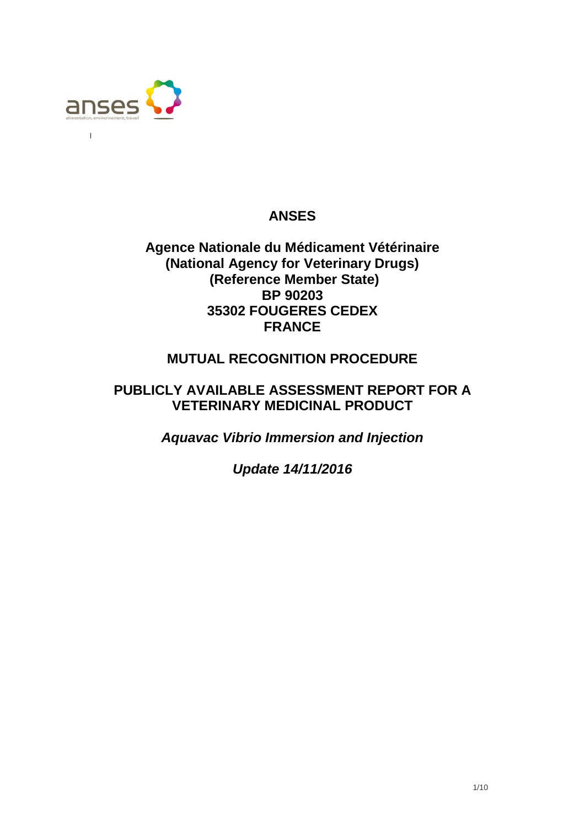

 $\overline{1}$ 

## **ANSES**

## **Agence Nationale du Médicament Vétérinaire (National Agency for Veterinary Drugs) (Reference Member State) BP 90203 35302 FOUGERES CEDEX FRANCE**

## **MUTUAL RECOGNITION PROCEDURE**

## **PUBLICLY AVAILABLE ASSESSMENT REPORT FOR A VETERINARY MEDICINAL PRODUCT**

*Aquavac Vibrio Immersion and Injection*

*Update 14/11/2016*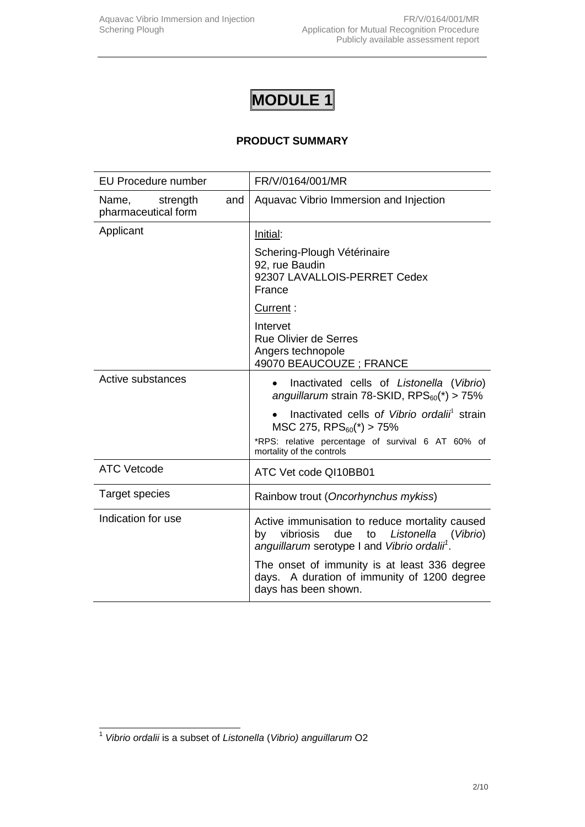## **PRODUCT SUMMARY**

| <b>EU Procedure number</b>                      | FR/V/0164/001/MR                                                                                                                                                  |  |
|-------------------------------------------------|-------------------------------------------------------------------------------------------------------------------------------------------------------------------|--|
| strength<br>Name,<br>and<br>pharmaceutical form | Aquavac Vibrio Immersion and Injection                                                                                                                            |  |
| Applicant                                       | Initial:                                                                                                                                                          |  |
|                                                 | Schering-Plough Vétérinaire<br>92, rue Baudin<br>92307 LAVALLOIS-PERRET Cedex<br>France                                                                           |  |
|                                                 | Current:                                                                                                                                                          |  |
|                                                 | Intervet<br><b>Rue Olivier de Serres</b><br>Angers technopole<br>49070 BEAUCOUZE; FRANCE                                                                          |  |
| Active substances                               | Inactivated cells of Listonella (Vibrio)<br>anguillarum strain 78-SKID, $RPS_{60}(*) > 75\%$                                                                      |  |
|                                                 | Inactivated cells of Vibrio ordalii <sup>1</sup> strain<br>$MSC$ 275, RPS $_{60}$ (*) > 75%                                                                       |  |
|                                                 | *RPS: relative percentage of survival 6 AT 60% of<br>mortality of the controls                                                                                    |  |
| <b>ATC Vetcode</b>                              | ATC Vet code QI10BB01                                                                                                                                             |  |
| <b>Target species</b>                           | Rainbow trout (Oncorhynchus mykiss)                                                                                                                               |  |
| Indication for use                              | Active immunisation to reduce mortality caused<br>vibriosis<br>due<br>to<br>Listonella (Vibrio)<br>by<br>anguillarum serotype I and Vibrio ordalii <sup>1</sup> . |  |
|                                                 | The onset of immunity is at least 336 degree<br>days. A duration of immunity of 1200 degree<br>days has been shown.                                               |  |

 1 *Vibrio ordalii* is a subset of *Listonella* (*Vibrio) anguillarum* O2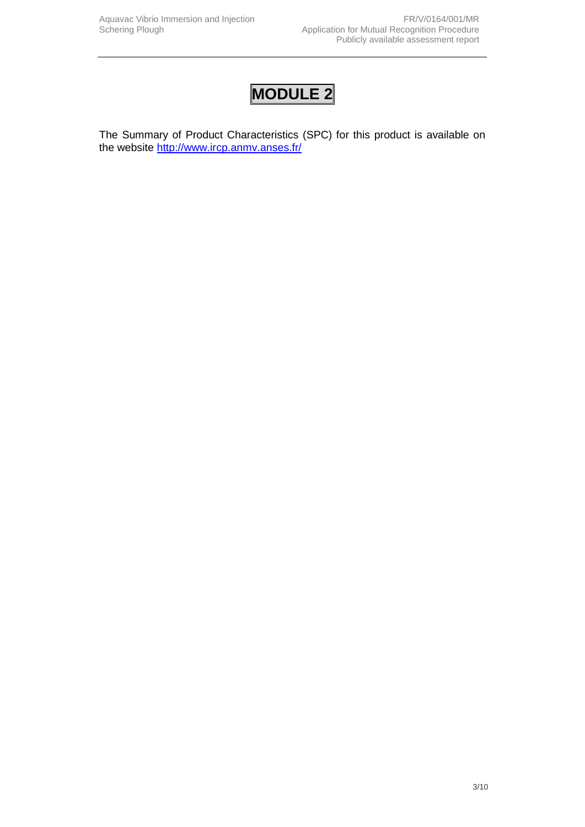The Summary of Product Characteristics (SPC) for this product is available on the website<http://www.ircp.anmv.anses.fr/>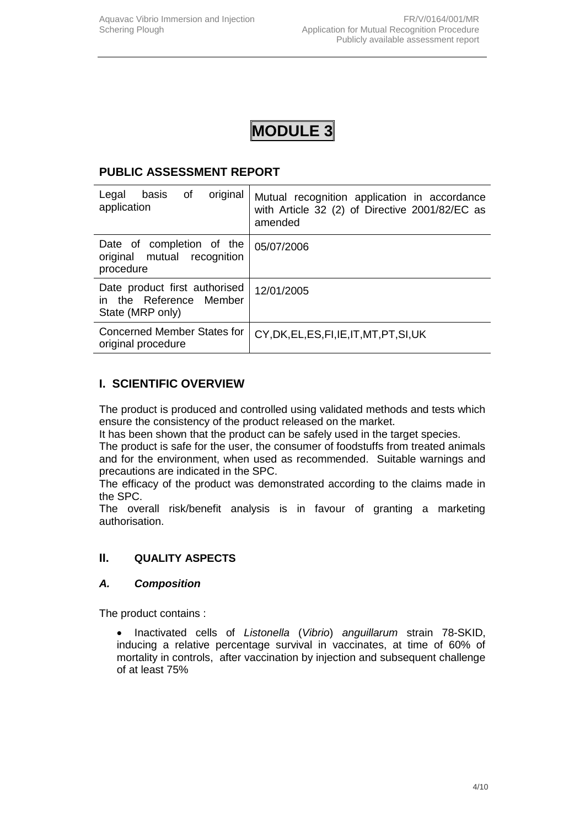### **PUBLIC ASSESSMENT REPORT**

| original<br>of<br>Legal<br>basis<br>application                              | Mutual recognition application in accordance<br>with Article 32 (2) of Directive 2001/82/EC as<br>amended |
|------------------------------------------------------------------------------|-----------------------------------------------------------------------------------------------------------|
| Date of completion of the<br>original mutual recognition<br>procedure        | 05/07/2006                                                                                                |
| Date product first authorised<br>in the Reference Member<br>State (MRP only) | 12/01/2005                                                                                                |
| <b>Concerned Member States for</b><br>original procedure                     | CY, DK, EL, ES, FI, IE, IT, MT, PT, SI, UK                                                                |

## **I. SCIENTIFIC OVERVIEW**

The product is produced and controlled using validated methods and tests which ensure the consistency of the product released on the market.

It has been shown that the product can be safely used in the target species.

The product is safe for the user, the consumer of foodstuffs from treated animals and for the environment, when used as recommended. Suitable warnings and precautions are indicated in the SPC.

The efficacy of the product was demonstrated according to the claims made in the SPC.

The overall risk/benefit analysis is in favour of granting a marketing authorisation.

### **II. QUALITY ASPECTS**

#### *A. Composition*

The product contains :

 Inactivated cells of *Listonella* (*Vibrio*) *anguillarum* strain 78-SKID, inducing a relative percentage survival in vaccinates, at time of 60% of mortality in controls, after vaccination by injection and subsequent challenge of at least 75%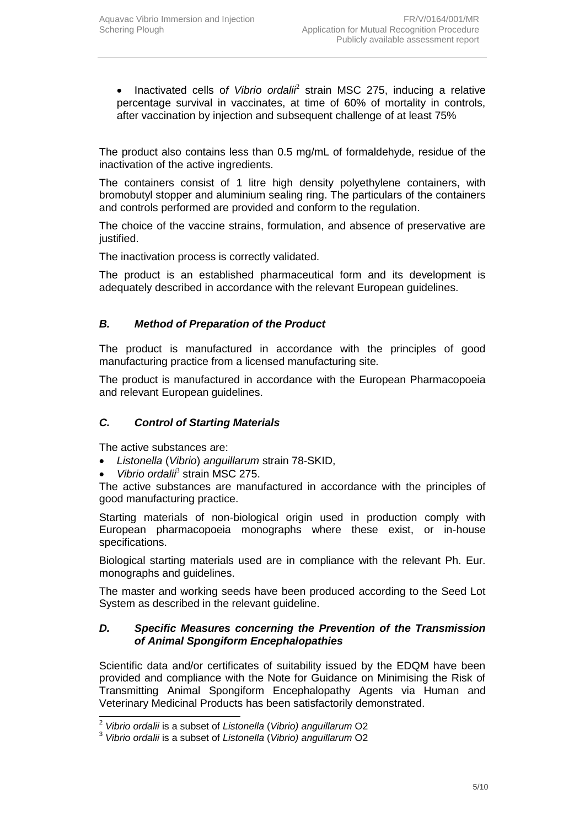• Inactivated cells of Vibrio ordali<sup>2</sup> strain MSC 275, inducing a relative percentage survival in vaccinates, at time of 60% of mortality in controls, after vaccination by injection and subsequent challenge of at least 75%

The product also contains less than 0.5 mg/mL of formaldehyde, residue of the inactivation of the active ingredients.

The containers consist of 1 litre high density polyethylene containers, with bromobutyl stopper and aluminium sealing ring. The particulars of the containers and controls performed are provided and conform to the regulation.

The choice of the vaccine strains, formulation, and absence of preservative are justified.

The inactivation process is correctly validated.

The product is an established pharmaceutical form and its development is adequately described in accordance with the relevant European guidelines.

### *B. Method of Preparation of the Product*

The product is manufactured in accordance with the principles of good manufacturing practice from a licensed manufacturing site*.*

The product is manufactured in accordance with the European Pharmacopoeia and relevant European guidelines.

#### *C. Control of Starting Materials*

The active substances are:

- *Listonella* (*Vibrio*) *anguillarum* strain 78-SKID,
- Vibrio ordali<sup>3</sup> strain MSC 275.

The active substances are manufactured in accordance with the principles of good manufacturing practice.

Starting materials of non-biological origin used in production comply with European pharmacopoeia monographs where these exist, or in-house specifications.

Biological starting materials used are in compliance with the relevant Ph. Eur. monographs and guidelines.

The master and working seeds have been produced according to the Seed Lot System as described in the relevant guideline.

#### *D. Specific Measures concerning the Prevention of the Transmission of Animal Spongiform Encephalopathies*

Scientific data and/or certificates of suitability issued by the EDQM have been provided and compliance with the Note for Guidance on Minimising the Risk of Transmitting Animal Spongiform Encephalopathy Agents via Human and Veterinary Medicinal Products has been satisfactorily demonstrated.

 2 *Vibrio ordalii* is a subset of *Listonella* (*Vibrio) anguillarum* O2

<sup>3</sup> *Vibrio ordalii* is a subset of *Listonella* (*Vibrio) anguillarum* O2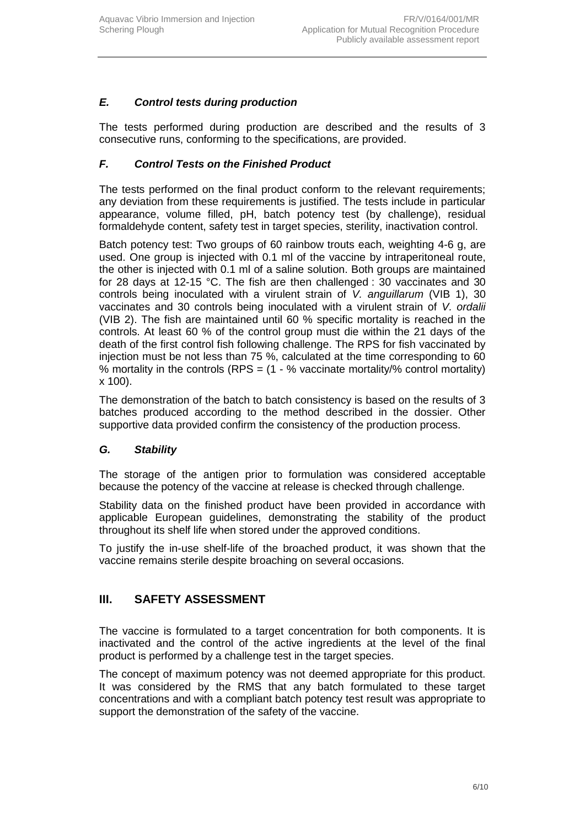## *E. Control tests during production*

The tests performed during production are described and the results of 3 consecutive runs, conforming to the specifications, are provided.

## *F. Control Tests on the Finished Product*

The tests performed on the final product conform to the relevant requirements; any deviation from these requirements is justified. The tests include in particular appearance, volume filled, pH, batch potency test (by challenge), residual formaldehyde content, safety test in target species, sterility, inactivation control.

Batch potency test: Two groups of 60 rainbow trouts each, weighting 4-6 g, are used. One group is injected with 0.1 ml of the vaccine by intraperitoneal route, the other is injected with 0.1 ml of a saline solution. Both groups are maintained for 28 days at 12-15 °C. The fish are then challenged : 30 vaccinates and 30 controls being inoculated with a virulent strain of *V. anguillarum* (VIB 1), 30 vaccinates and 30 controls being inoculated with a virulent strain of *V. ordalii* (VIB 2). The fish are maintained until 60 % specific mortality is reached in the controls. At least 60 % of the control group must die within the 21 days of the death of the first control fish following challenge. The RPS for fish vaccinated by injection must be not less than 75 %, calculated at the time corresponding to 60 % mortality in the controls (RPS =  $(1 - %$  vaccinate mortality/% control mortality) x 100).

The demonstration of the batch to batch consistency is based on the results of 3 batches produced according to the method described in the dossier. Other supportive data provided confirm the consistency of the production process.

### *G. Stability*

The storage of the antigen prior to formulation was considered acceptable because the potency of the vaccine at release is checked through challenge.

Stability data on the finished product have been provided in accordance with applicable European guidelines, demonstrating the stability of the product throughout its shelf life when stored under the approved conditions.

To justify the in-use shelf-life of the broached product, it was shown that the vaccine remains sterile despite broaching on several occasions.

## **III. SAFETY ASSESSMENT**

The vaccine is formulated to a target concentration for both components. It is inactivated and the control of the active ingredients at the level of the final product is performed by a challenge test in the target species.

The concept of maximum potency was not deemed appropriate for this product. It was considered by the RMS that any batch formulated to these target concentrations and with a compliant batch potency test result was appropriate to support the demonstration of the safety of the vaccine.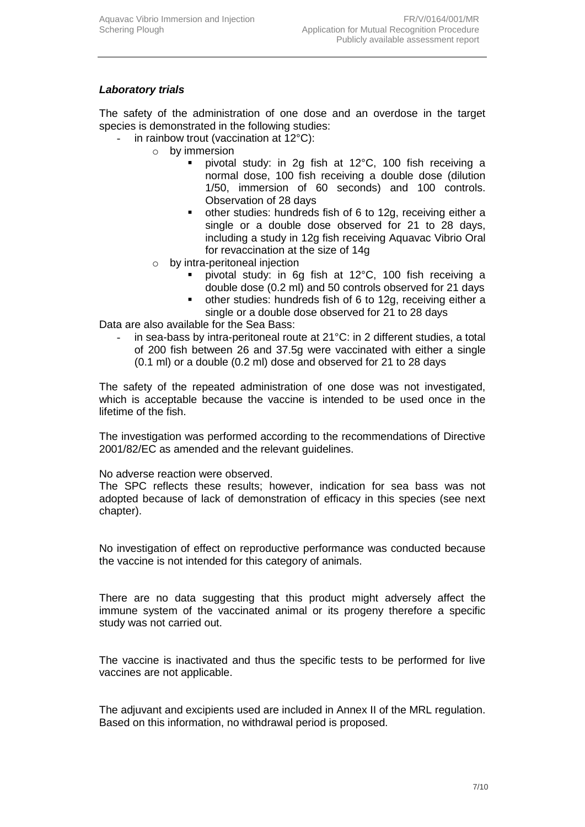### *Laboratory trials*

The safety of the administration of one dose and an overdose in the target species is demonstrated in the following studies:

- in rainbow trout (vaccination at  $12^{\circ}$ C):
	- o by immersion
		- pivotal study: in 2g fish at 12°C, 100 fish receiving a normal dose, 100 fish receiving a double dose (dilution 1/50, immersion of 60 seconds) and 100 controls. Observation of 28 days
		- other studies: hundreds fish of 6 to 12g, receiving either a single or a double dose observed for 21 to 28 days, including a study in 12g fish receiving Aquavac Vibrio Oral for revaccination at the size of 14g
	- o by intra-peritoneal injection
		- pivotal study: in 6g fish at 12°C, 100 fish receiving a double dose (0.2 ml) and 50 controls observed for 21 days
		- other studies: hundreds fish of 6 to 12g, receiving either a single or a double dose observed for 21 to 28 days

Data are also available for the Sea Bass:

in sea-bass by intra-peritoneal route at 21°C: in 2 different studies, a total of 200 fish between 26 and 37.5g were vaccinated with either a single (0.1 ml) or a double (0.2 ml) dose and observed for 21 to 28 days

The safety of the repeated administration of one dose was not investigated, which is acceptable because the vaccine is intended to be used once in the lifetime of the fish.

The investigation was performed according to the recommendations of Directive 2001/82/EC as amended and the relevant guidelines.

No adverse reaction were observed.

The SPC reflects these results; however, indication for sea bass was not adopted because of lack of demonstration of efficacy in this species (see next chapter).

No investigation of effect on reproductive performance was conducted because the vaccine is not intended for this category of animals.

There are no data suggesting that this product might adversely affect the immune system of the vaccinated animal or its progeny therefore a specific study was not carried out.

The vaccine is inactivated and thus the specific tests to be performed for live vaccines are not applicable.

The adjuvant and excipients used are included in Annex II of the MRL regulation. Based on this information, no withdrawal period is proposed.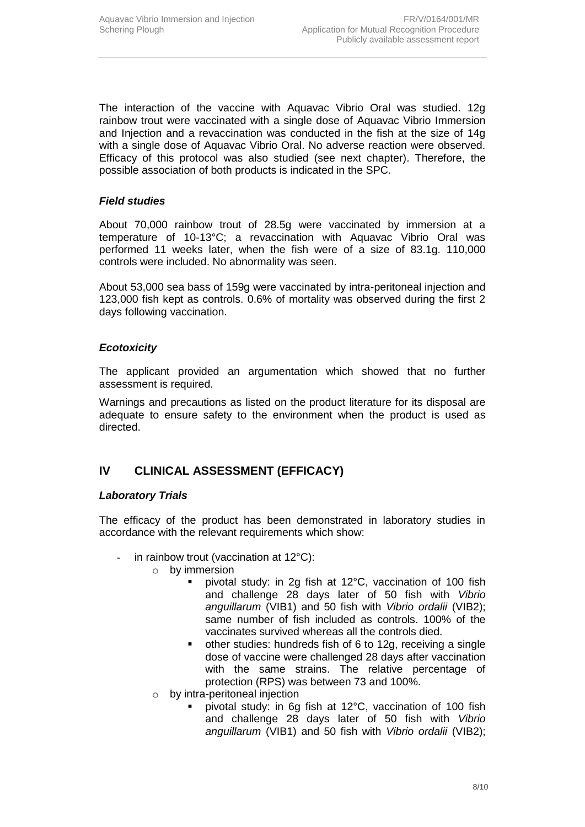The interaction of the vaccine with Aquavac Vibrio Oral was studied. 12g rainbow trout were vaccinated with a single dose of Aquavac Vibrio Immersion and Injection and a revaccination was conducted in the fish at the size of 14g with a single dose of Aquavac Vibrio Oral. No adverse reaction were observed. Efficacy of this protocol was also studied (see next chapter). Therefore, the possible association of both products is indicated in the SPC.

#### *Field studies*

About 70,000 rainbow trout of 28.5g were vaccinated by immersion at a temperature of 10-13°C; a revaccination with Aquavac Vibrio Oral was performed 11 weeks later, when the fish were of a size of 83.1g. 110,000 controls were included. No abnormality was seen.

About 53,000 sea bass of 159g were vaccinated by intra-peritoneal injection and 123,000 fish kept as controls. 0.6% of mortality was observed during the first 2 days following vaccination.

#### *Ecotoxicity*

The applicant provided an argumentation which showed that no further assessment is required.

Warnings and precautions as listed on the product literature for its disposal are adequate to ensure safety to the environment when the product is used as directed.

## **IV CLINICAL ASSESSMENT (EFFICACY)**

#### *Laboratory Trials*

The efficacy of the product has been demonstrated in laboratory studies in accordance with the relevant requirements which show:

- in rainbow trout (vaccination at  $12^{\circ}$ C):
	- o by immersion
		- pivotal study: in 2g fish at 12°C, vaccination of 100 fish and challenge 28 days later of 50 fish with *Vibrio anguillarum* (VIB1) and 50 fish with *Vibrio ordalii* (VIB2); same number of fish included as controls. 100% of the vaccinates survived whereas all the controls died.
		- other studies: hundreds fish of 6 to 12g, receiving a single dose of vaccine were challenged 28 days after vaccination with the same strains. The relative percentage of protection (RPS) was between 73 and 100%.
	- o by intra-peritoneal injection
		- pivotal study: in 6g fish at 12°C, vaccination of 100 fish and challenge 28 days later of 50 fish with *Vibrio anguillarum* (VIB1) and 50 fish with *Vibrio ordalii* (VIB2);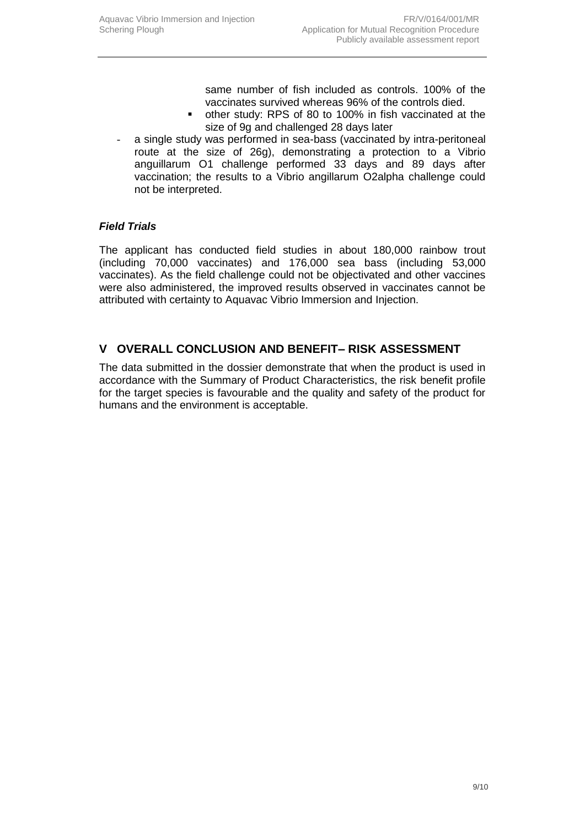same number of fish included as controls. 100% of the vaccinates survived whereas 96% of the controls died.

- other study: RPS of 80 to 100% in fish vaccinated at the size of 9g and challenged 28 days later
- a single study was performed in sea-bass (vaccinated by intra-peritoneal route at the size of 26g), demonstrating a protection to a Vibrio anguillarum O1 challenge performed 33 days and 89 days after vaccination; the results to a Vibrio angillarum O2alpha challenge could not be interpreted.

### *Field Trials*

The applicant has conducted field studies in about 180,000 rainbow trout (including 70,000 vaccinates) and 176,000 sea bass (including 53,000 vaccinates). As the field challenge could not be objectivated and other vaccines were also administered, the improved results observed in vaccinates cannot be attributed with certainty to Aquavac Vibrio Immersion and Injection.

## **V OVERALL CONCLUSION AND BENEFIT– RISK ASSESSMENT**

The data submitted in the dossier demonstrate that when the product is used in accordance with the Summary of Product Characteristics, the risk benefit profile for the target species is favourable and the quality and safety of the product for humans and the environment is acceptable.